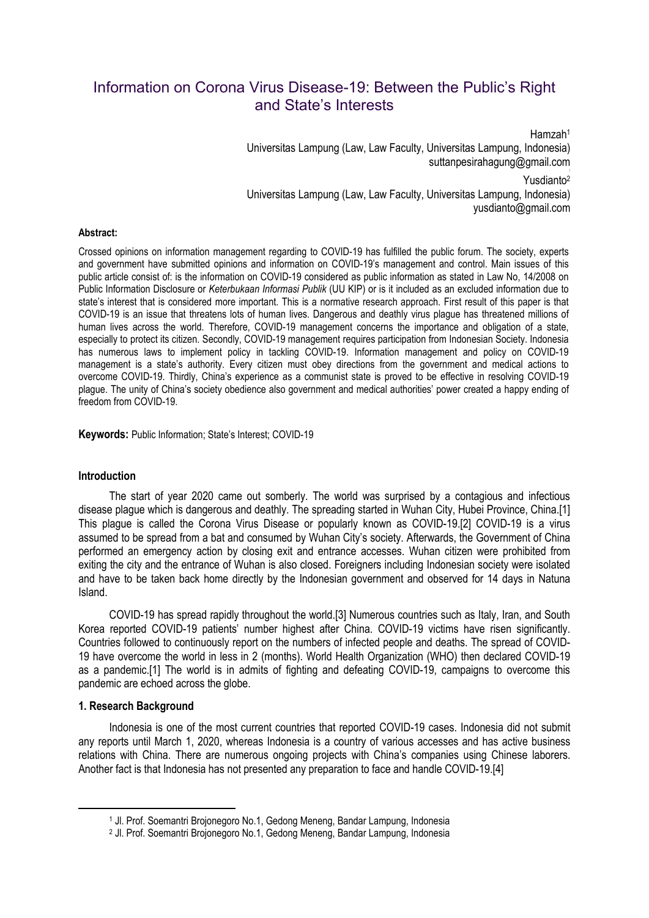# Information on Corona Virus Disease-19: Between the Public's Right and State's Interests

Hamzah<sup>1</sup> Universitas Lampung (Law, Law Faculty, Universitas Lampung, Indonesia) suttanpesirahagung@gmail.com Yusdianto<sup>2</sup> Universitas Lampung (Law, Law Faculty, Universitas Lampung, Indonesia) yusdianto@gmail.com

### **Abstract:**

Crossed opinions on information management regarding to COVID-19 has fulfilled the public forum. The society, experts and government have submitted opinions and information on COVID-19's management and control. Main issues of this public article consist of: is the information on COVID-19 considered as public information as stated in Law No, 14/2008 on Public Information Disclosure or *Keterbukaan Informasi Publik* (UU KIP) or is it included as an excluded information due to state's interest that is considered more important. This is a normative research approach. First result of this paper is that COVID-19 is an issue that threatens lots of human lives. Dangerous and deathly virus plague has threatened millions of human lives across the world. Therefore, COVID-19 management concerns the importance and obligation of a state, especially to protect its citizen. Secondly, COVID-19 management requires participation from Indonesian Society. Indonesia has numerous laws to implement policy in tackling COVID-19. Information management and policy on COVID-19 management is a state's authority. Every citizen must obey directions from the government and medical actions to overcome COVID-19. Thirdly, China's experience as a communist state is proved to be effective in resolving COVID-19 plague. The unity of China's society obedience also government and medical authorities' power created a happy ending of freedom from COVID-19.

**Keywords:** Public Information; State's Interest; COVID-19

### **Introduction**

The start of year 2020 came out somberly. The world was surprised by a contagious and infectious disease plague which is dangerous and deathly. The spreading started in Wuhan City, Hubei Province, China.[1] This plague is called the Corona Virus Disease or popularly known as COVID-19.[2] COVID-19 is a virus assumed to be spread from a bat and consumed by Wuhan City's society. Afterwards, the Government of China performed an emergency action by closing exit and entrance accesses. Wuhan citizen were prohibited from exiting the city and the entrance of Wuhan is also closed. Foreigners including Indonesian society were isolated and have to be taken back home directly by the Indonesian government and observed for 14 days in Natuna Island.

COVID-19 has spread rapidly throughout the world.[3] Numerous countries such as Italy, Iran, and South Korea reported COVID-19 patients' number highest after China. COVID-19 victims have risen significantly. Countries followed to continuously report on the numbers of infected people and deaths. The spread of COVID-19 have overcome the world in less in 2 (months). World Health Organization (WHO) then declared COVID-19 as a pandemic.[1] The world is in admits of fighting and defeating COVID-19, campaigns to overcome this pandemic are echoed across the globe.

## **1. Research Background**

 $\overline{a}$ 

Indonesia is one of the most current countries that reported COVID-19 cases. Indonesia did not submit any reports until March 1, 2020, whereas Indonesia is a country of various accesses and has active business relations with China. There are numerous ongoing projects with China's companies using Chinese laborers. Another fact is that Indonesia has not presented any preparation to face and handle COVID-19.[4]

<sup>1</sup> Jl. Prof. Soemantri Brojonegoro No.1, Gedong Meneng, Bandar Lampung, Indonesia

<sup>2</sup> Jl. Prof. Soemantri Brojonegoro No.1, Gedong Meneng, Bandar Lampung, Indonesia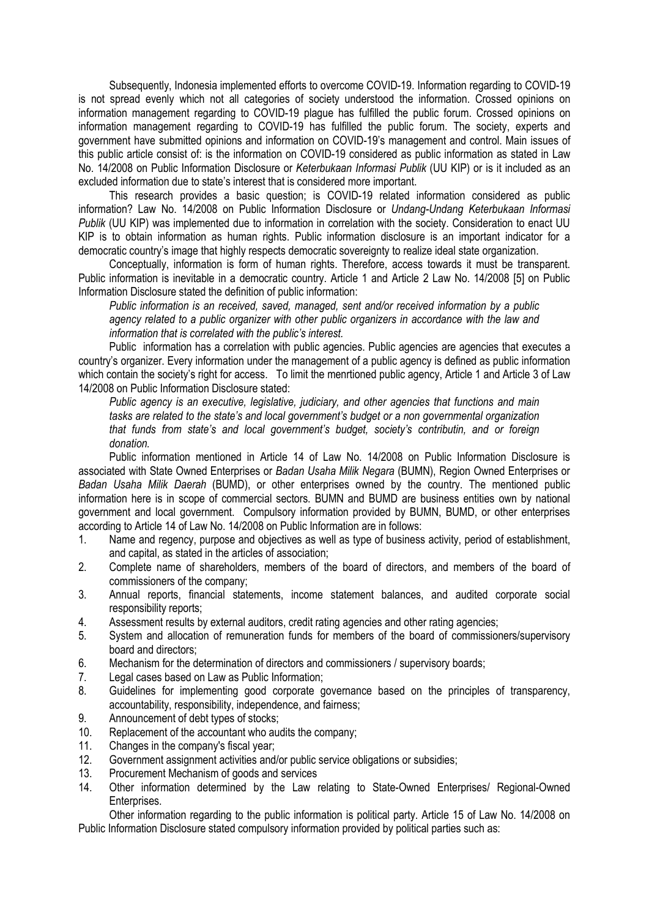Subsequently, Indonesia implemented efforts to overcome COVID-19. Information regarding to COVID-19 is not spread evenly which not all categories of society understood the information. Crossed opinions on information management regarding to COVID-19 plague has fulfilled the public forum. Crossed opinions on information management regarding to COVID-19 has fulfilled the public forum. The society, experts and government have submitted opinions and information on COVID-19's management and control. Main issues of this public article consist of: is the information on COVID-19 considered as public information as stated in Law No. 14/2008 on Public Information Disclosure or *Keterbukaan Informasi Publik* (UU KIP) or is it included as an excluded information due to state's interest that is considered more important.

This research provides a basic question; is COVID-19 related information considered as public information? Law No. 14/2008 on Public Information Disclosure or *Undang-Undang Keterbukaan Informasi Publik* (UU KIP) was implemented due to information in correlation with the society. Consideration to enact UU KIP is to obtain information as human rights. Public information disclosure is an important indicator for a democratic country's image that highly respects democratic sovereignty to realize ideal state organization.

Conceptually, information is form of human rights. Therefore, access towards it must be transparent. Public information is inevitable in a democratic country. Article 1 and Article 2 Law No. 14/2008 [5] on Public Information Disclosure stated the definition of public information:

*Public information is an received, saved, managed, sent and/or received information by a public agency related to a public organizer with other public organizers in accordance with the law and information that is correlated with the public's interest.* 

Public information has a correlation with public agencies. Public agencies are agencies that executes a country's organizer. Every information under the management of a public agency is defined as public information which contain the society's right for access. To limit the menrtioned public agency, Article 1 and Article 3 of Law 14/2008 on Public Information Disclosure stated:

*Public agency is an executive, legislative, judiciary, and other agencies that functions and main tasks are related to the state's and local government's budget or a non governmental organization that funds from state's and local government's budget, society's contributin, and or foreign donation.* 

 Public information mentioned in Article 14 of Law No. 14/2008 on Public Information Disclosure is associated with State Owned Enterprises or *Badan Usaha Milik Negara* (BUMN), Region Owned Enterprises or *Badan Usaha Milik Daerah* (BUMD), or other enterprises owned by the country. The mentioned public information here is in scope of commercial sectors. BUMN and BUMD are business entities own by national government and local government. Compulsory information provided by BUMN, BUMD, or other enterprises according to Article 14 of Law No. 14/2008 on Public Information are in follows:

- 1. Name and regency, purpose and objectives as well as type of business activity, period of establishment, and capital, as stated in the articles of association;
- 2. Complete name of shareholders, members of the board of directors, and members of the board of commissioners of the company;
- 3. Annual reports, financial statements, income statement balances, and audited corporate social responsibility reports;
- 4. Assessment results by external auditors, credit rating agencies and other rating agencies;
- 5. System and allocation of remuneration funds for members of the board of commissioners/supervisory board and directors;
- 6. Mechanism for the determination of directors and commissioners / supervisory boards;
- 7. Legal cases based on Law as Public Information;
- 8. Guidelines for implementing good corporate governance based on the principles of transparency, accountability, responsibility, independence, and fairness;
- 9. Announcement of debt types of stocks;
- 10. Replacement of the accountant who audits the company;
- 11. Changes in the company's fiscal year;
- 12. Government assignment activities and/or public service obligations or subsidies;
- 13. Procurement Mechanism of goods and services
- 14. Other information determined by the Law relating to State-Owned Enterprises/ Regional-Owned Enterprises.

Other information regarding to the public information is political party. Article 15 of Law No. 14/2008 on Public Information Disclosure stated compulsory information provided by political parties such as: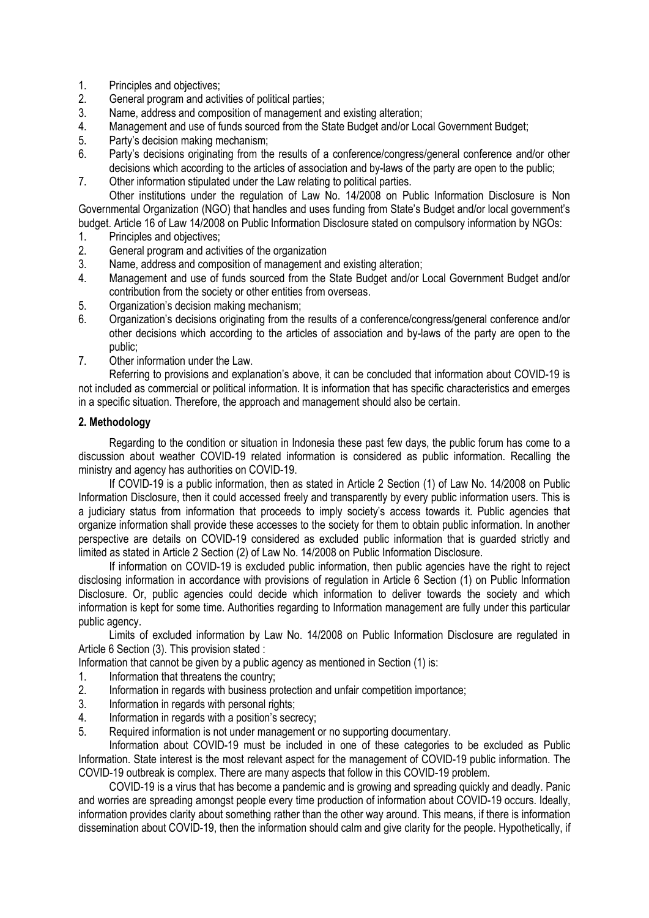- 1. Principles and objectives;
- 2. General program and activities of political parties;
- 3. Name, address and composition of management and existing alteration;
- 4. Management and use of funds sourced from the State Budget and/or Local Government Budget;
- 5. Party's decision making mechanism;
- 6. Party's decisions originating from the results of a conference/congress/general conference and/or other decisions which according to the articles of association and by-laws of the party are open to the public;
- 7. Other information stipulated under the Law relating to political parties.

Other institutions under the regulation of Law No. 14/2008 on Public Information Disclosure is Non Governmental Organization (NGO) that handles and uses funding from State's Budget and/or local government's budget. Article 16 of Law 14/2008 on Public Information Disclosure stated on compulsory information by NGOs:

- 
- 1. Principles and objectives;<br>2. General program and activ 2. General program and activities of the organization
- 3. Name, address and composition of management and existing alteration;
- 4. Management and use of funds sourced from the State Budget and/or Local Government Budget and/or contribution from the society or other entities from overseas.
- 5. Organization's decision making mechanism;
- 6. Organization's decisions originating from the results of a conference/congress/general conference and/or other decisions which according to the articles of association and by-laws of the party are open to the public;
- 7. Other information under the Law.

 Referring to provisions and explanation's above, it can be concluded that information about COVID-19 is not included as commercial or political information. It is information that has specific characteristics and emerges in a specific situation. Therefore, the approach and management should also be certain.

## **2. Methodology**

Regarding to the condition or situation in Indonesia these past few days, the public forum has come to a discussion about weather COVID-19 related information is considered as public information. Recalling the ministry and agency has authorities on COVID-19.

If COVID-19 is a public information, then as stated in Article 2 Section (1) of Law No. 14/2008 on Public Information Disclosure, then it could accessed freely and transparently by every public information users. This is a judiciary status from information that proceeds to imply society's access towards it. Public agencies that organize information shall provide these accesses to the society for them to obtain public information. In another perspective are details on COVID-19 considered as excluded public information that is guarded strictly and limited as stated in Article 2 Section (2) of Law No. 14/2008 on Public Information Disclosure.

If information on COVID-19 is excluded public information, then public agencies have the right to reject disclosing information in accordance with provisions of regulation in Article 6 Section (1) on Public Information Disclosure. Or, public agencies could decide which information to deliver towards the society and which information is kept for some time. Authorities regarding to Information management are fully under this particular public agency.

Limits of excluded information by Law No. 14/2008 on Public Information Disclosure are regulated in Article 6 Section (3). This provision stated :

Information that cannot be given by a public agency as mentioned in Section (1) is:

- 1. Information that threatens the country;<br>2. Information in regards with business pr
- 2. Information in regards with business protection and unfair competition importance;<br>3. Information in regards with personal rights:
- Information in regards with personal rights;
- 4. Information in regards with a position's secrecy;
- 5. Required information is not under management or no supporting documentary.

 Information about COVID-19 must be included in one of these categories to be excluded as Public Information. State interest is the most relevant aspect for the management of COVID-19 public information. The COVID-19 outbreak is complex. There are many aspects that follow in this COVID-19 problem.

 COVID-19 is a virus that has become a pandemic and is growing and spreading quickly and deadly. Panic and worries are spreading amongst people every time production of information about COVID-19 occurs. Ideally, information provides clarity about something rather than the other way around. This means, if there is information dissemination about COVID-19, then the information should calm and give clarity for the people. Hypothetically, if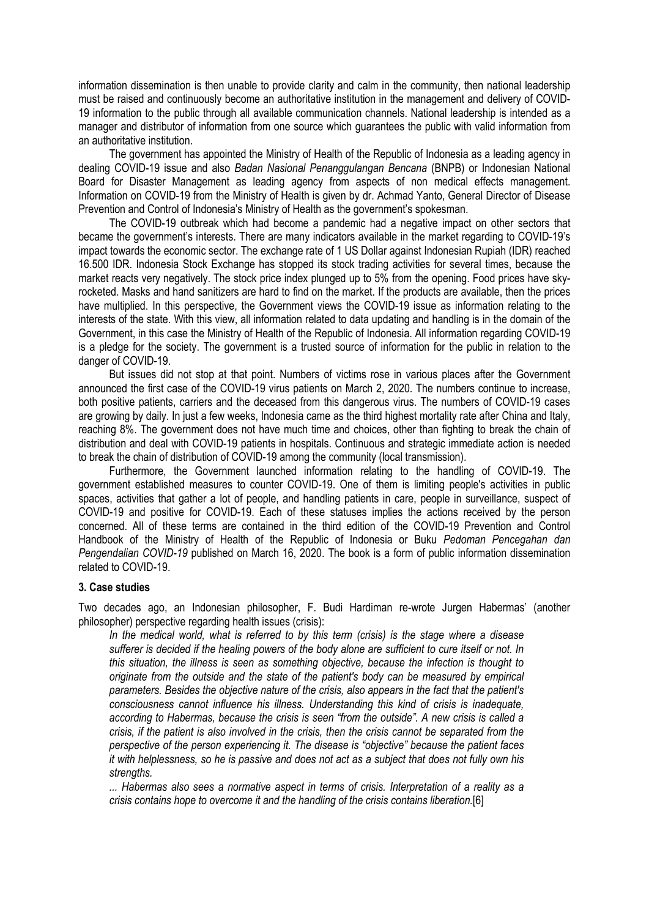information dissemination is then unable to provide clarity and calm in the community, then national leadership must be raised and continuously become an authoritative institution in the management and delivery of COVID-19 information to the public through all available communication channels. National leadership is intended as a manager and distributor of information from one source which guarantees the public with valid information from an authoritative institution.

 The government has appointed the Ministry of Health of the Republic of Indonesia as a leading agency in dealing COVID-19 issue and also *Badan Nasional Penanggulangan Bencana* (BNPB) or Indonesian National Board for Disaster Management as leading agency from aspects of non medical effects management. Information on COVID-19 from the Ministry of Health is given by dr. Achmad Yanto, General Director of Disease Prevention and Control of Indonesia's Ministry of Health as the government's spokesman.

 The COVID-19 outbreak which had become a pandemic had a negative impact on other sectors that became the government's interests. There are many indicators available in the market regarding to COVID-19's impact towards the economic sector. The exchange rate of 1 US Dollar against Indonesian Rupiah (IDR) reached 16.500 IDR. Indonesia Stock Exchange has stopped its stock trading activities for several times, because the market reacts very negatively. The stock price index plunged up to 5% from the opening. Food prices have skyrocketed. Masks and hand sanitizers are hard to find on the market. If the products are available, then the prices have multiplied. In this perspective, the Government views the COVID-19 issue as information relating to the interests of the state. With this view, all information related to data updating and handling is in the domain of the Government, in this case the Ministry of Health of the Republic of Indonesia. All information regarding COVID-19 is a pledge for the society. The government is a trusted source of information for the public in relation to the danger of COVID-19.

 But issues did not stop at that point. Numbers of victims rose in various places after the Government announced the first case of the COVID-19 virus patients on March 2, 2020. The numbers continue to increase, both positive patients, carriers and the deceased from this dangerous virus. The numbers of COVID-19 cases are growing by daily. In just a few weeks, Indonesia came as the third highest mortality rate after China and Italy, reaching 8%. The government does not have much time and choices, other than fighting to break the chain of distribution and deal with COVID-19 patients in hospitals. Continuous and strategic immediate action is needed to break the chain of distribution of COVID-19 among the community (local transmission).

 Furthermore, the Government launched information relating to the handling of COVID-19. The government established measures to counter COVID-19. One of them is limiting people's activities in public spaces, activities that gather a lot of people, and handling patients in care, people in surveillance, suspect of COVID-19 and positive for COVID-19. Each of these statuses implies the actions received by the person concerned. All of these terms are contained in the third edition of the COVID-19 Prevention and Control Handbook of the Ministry of Health of the Republic of Indonesia or Buku *Pedoman Pencegahan dan Pengendalian COVID-19* published on March 16, 2020. The book is a form of public information dissemination related to COVID-19.

### **3. Case studies**

Two decades ago, an Indonesian philosopher, F. Budi Hardiman re-wrote Jurgen Habermas' (another philosopher) perspective regarding health issues (crisis):

*In the medical world, what is referred to by this term (crisis) is the stage where a disease sufferer is decided if the healing powers of the body alone are sufficient to cure itself or not. In this situation, the illness is seen as something objective, because the infection is thought to originate from the outside and the state of the patient's body can be measured by empirical parameters. Besides the objective nature of the crisis, also appears in the fact that the patient's consciousness cannot influence his illness. Understanding this kind of crisis is inadequate, according to Habermas, because the crisis is seen "from the outside". A new crisis is called a crisis, if the patient is also involved in the crisis, then the crisis cannot be separated from the perspective of the person experiencing it. The disease is "objective" because the patient faces it with helplessness, so he is passive and does not act as a subject that does not fully own his strengths.* 

*... Habermas also sees a normative aspect in terms of crisis. Interpretation of a reality as a crisis contains hope to overcome it and the handling of the crisis contains liberation.*[6]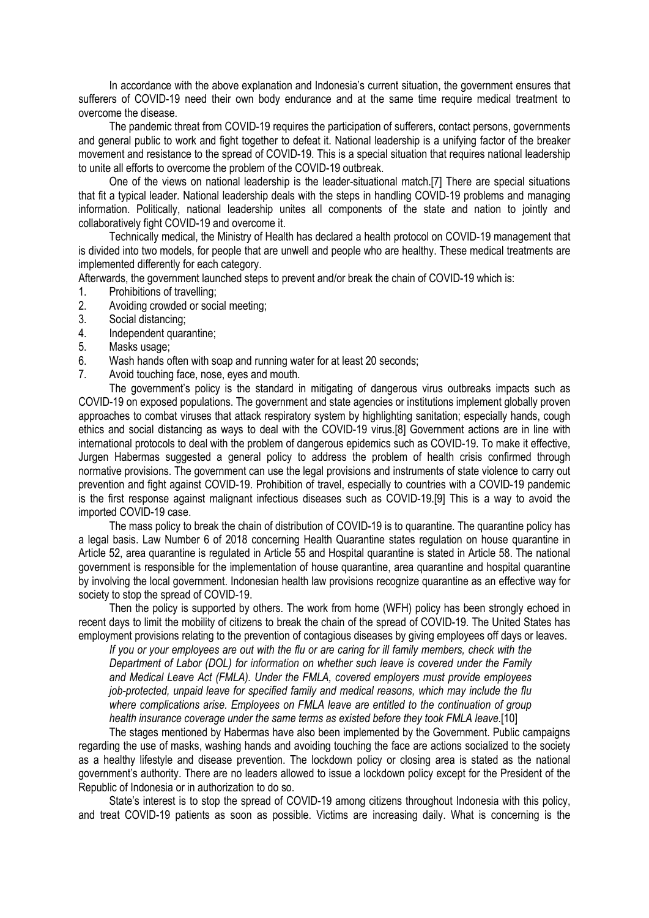In accordance with the above explanation and Indonesia's current situation, the government ensures that sufferers of COVID-19 need their own body endurance and at the same time require medical treatment to overcome the disease.

The pandemic threat from COVID-19 requires the participation of sufferers, contact persons, governments and general public to work and fight together to defeat it. National leadership is a unifying factor of the breaker movement and resistance to the spread of COVID-19. This is a special situation that requires national leadership to unite all efforts to overcome the problem of the COVID-19 outbreak.

One of the views on national leadership is the leader-situational match.[7] There are special situations that fit a typical leader. National leadership deals with the steps in handling COVID-19 problems and managing information. Politically, national leadership unites all components of the state and nation to jointly and collaboratively fight COVID-19 and overcome it.

Technically medical, the Ministry of Health has declared a health protocol on COVID-19 management that is divided into two models, for people that are unwell and people who are healthy. These medical treatments are implemented differently for each category.

Afterwards, the government launched steps to prevent and/or break the chain of COVID-19 which is:

- 1. Prohibitions of travelling;<br>2. Avoiding crowded or soci
- Avoiding crowded or social meeting:
- 3. Social distancing;
- 4. Independent quarantine;
- 5. Masks usage;
- 6. Wash hands often with soap and running water for at least 20 seconds;
- 7. Avoid touching face, nose, eyes and mouth.

The government's policy is the standard in mitigating of dangerous virus outbreaks impacts such as COVID-19 on exposed populations. The government and state agencies or institutions implement globally proven approaches to combat viruses that attack respiratory system by highlighting sanitation; especially hands, cough ethics and social distancing as ways to deal with the COVID-19 virus.[8] Government actions are in line with international protocols to deal with the problem of dangerous epidemics such as COVID-19. To make it effective, Jurgen Habermas suggested a general policy to address the problem of health crisis confirmed through normative provisions. The government can use the legal provisions and instruments of state violence to carry out prevention and fight against COVID-19. Prohibition of travel, especially to countries with a COVID-19 pandemic is the first response against malignant infectious diseases such as COVID-19.[9] This is a way to avoid the imported COVID-19 case.

The mass policy to break the chain of distribution of COVID-19 is to quarantine. The quarantine policy has a legal basis. Law Number 6 of 2018 concerning Health Quarantine states regulation on house quarantine in Article 52, area quarantine is regulated in Article 55 and Hospital quarantine is stated in Article 58. The national government is responsible for the implementation of house quarantine, area quarantine and hospital quarantine by involving the local government. Indonesian health law provisions recognize quarantine as an effective way for society to stop the spread of COVID-19.

Then the policy is supported by others. The work from home (WFH) policy has been strongly echoed in recent days to limit the mobility of citizens to break the chain of the spread of COVID-19. The United States has employment provisions relating to the prevention of contagious diseases by giving employees off days or leaves.

*If you or your employees are out with the flu or are caring for ill family members, check with the Department of Labor (DOL) for information on whether such leave is covered under the Family and Medical Leave Act (FMLA). Under the FMLA, covered employers must provide employees job-protected, unpaid leave for specified family and medical reasons, which may include the flu where complications arise. Employees on FMLA leave are entitled to the continuation of group health insurance coverage under the same terms as existed before they took FMLA leave.*[10]

The stages mentioned by Habermas have also been implemented by the Government. Public campaigns regarding the use of masks, washing hands and avoiding touching the face are actions socialized to the society as a healthy lifestyle and disease prevention. The lockdown policy or closing area is stated as the national government's authority. There are no leaders allowed to issue a lockdown policy except for the President of the Republic of Indonesia or in authorization to do so.

State's interest is to stop the spread of COVID-19 among citizens throughout Indonesia with this policy, and treat COVID-19 patients as soon as possible. Victims are increasing daily. What is concerning is the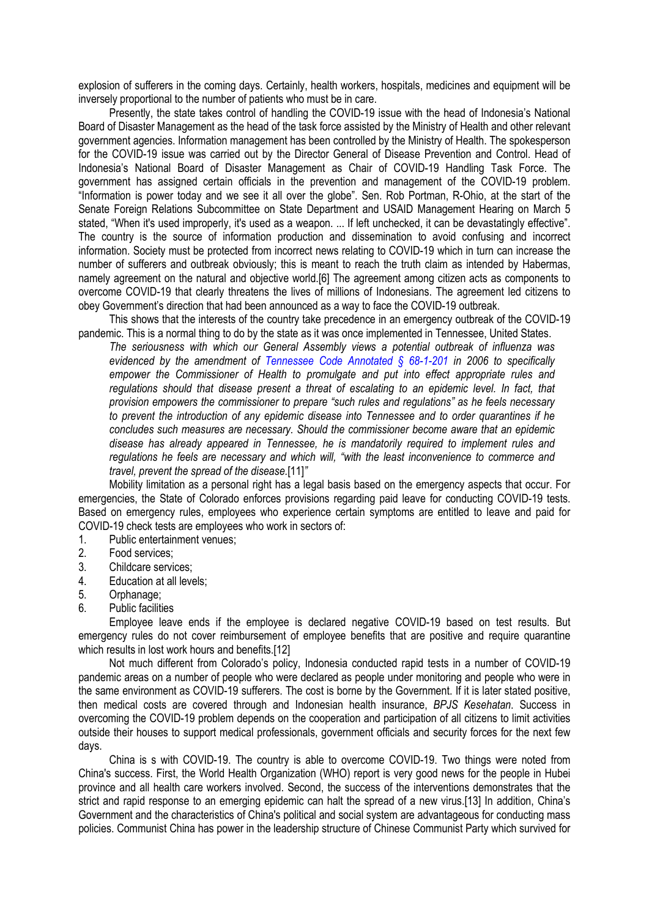explosion of sufferers in the coming days. Certainly, health workers, hospitals, medicines and equipment will be inversely proportional to the number of patients who must be in care.

Presently, the state takes control of handling the COVID-19 issue with the head of Indonesia's National Board of Disaster Management as the head of the task force assisted by the Ministry of Health and other relevant government agencies. Information management has been controlled by the Ministry of Health. The spokesperson for the COVID-19 issue was carried out by the Director General of Disease Prevention and Control. Head of Indonesia's National Board of Disaster Management as Chair of COVID-19 Handling Task Force. The government has assigned certain officials in the prevention and management of the COVID-19 problem. "Information is power today and we see it all over the globe". Sen. Rob Portman, R-Ohio, at the start of the Senate Foreign Relations Subcommittee on State Department and USAID Management Hearing on March 5 stated, "When it's used improperly, it's used as a weapon. ... If left unchecked, it can be devastatingly effective". The country is the source of information production and dissemination to avoid confusing and incorrect information. Society must be protected from incorrect news relating to COVID-19 which in turn can increase the number of sufferers and outbreak obviously; this is meant to reach the truth claim as intended by Habermas, namely agreement on the natural and objective world.[6] The agreement among citizen acts as components to overcome COVID-19 that clearly threatens the lives of millions of Indonesians. The agreement led citizens to obey Government's direction that had been announced as a way to face the COVID-19 outbreak.

This shows that the interests of the country take precedence in an emergency outbreak of the COVID-19 pandemic. This is a normal thing to do by the state as it was once implemented in Tennessee, United States.

*The seriousness with which our General Assembly views a potential outbreak of influenza was evidenced by the amendment of Tennessee Code Annotated § 68-1-201 in 2006 to specifically empower the Commissioner of Health to promulgate and put into effect appropriate rules and regulations should that disease present a threat of escalating to an epidemic level. In fact, that provision empowers the commissioner to prepare "such rules and regulations" as he feels necessary to prevent the introduction of any epidemic disease into Tennessee and to order quarantines if he concludes such measures are necessary. Should the commissioner become aware that an epidemic disease has already appeared in Tennessee, he is mandatorily required to implement rules and regulations he feels are necessary and which will, "with the least inconvenience to commerce and travel, prevent the spread of the disease.*[11]*"* 

Mobility limitation as a personal right has a legal basis based on the emergency aspects that occur. For emergencies, the State of Colorado enforces provisions regarding paid leave for conducting COVID-19 tests. Based on emergency rules, employees who experience certain symptoms are entitled to leave and paid for COVID-19 check tests are employees who work in sectors of:

- 1. Public entertainment venues;
- 2. Food services;
- 3. Childcare services;
- 4. Education at all levels;
- 5. Orphanage;
- 6. Public facilities

Employee leave ends if the employee is declared negative COVID-19 based on test results. But emergency rules do not cover reimbursement of employee benefits that are positive and require quarantine which results in lost work hours and benefits.[12]

Not much different from Colorado's policy, Indonesia conducted rapid tests in a number of COVID-19 pandemic areas on a number of people who were declared as people under monitoring and people who were in the same environment as COVID-19 sufferers. The cost is borne by the Government. If it is later stated positive, then medical costs are covered through and Indonesian health insurance, *BPJS Kesehatan*. Success in overcoming the COVID-19 problem depends on the cooperation and participation of all citizens to limit activities outside their houses to support medical professionals, government officials and security forces for the next few days.

China is s with COVID-19. The country is able to overcome COVID-19. Two things were noted from China's success. First, the World Health Organization (WHO) report is very good news for the people in Hubei province and all health care workers involved. Second, the success of the interventions demonstrates that the strict and rapid response to an emerging epidemic can halt the spread of a new virus.[13] In addition, China's Government and the characteristics of China's political and social system are advantageous for conducting mass policies. Communist China has power in the leadership structure of Chinese Communist Party which survived for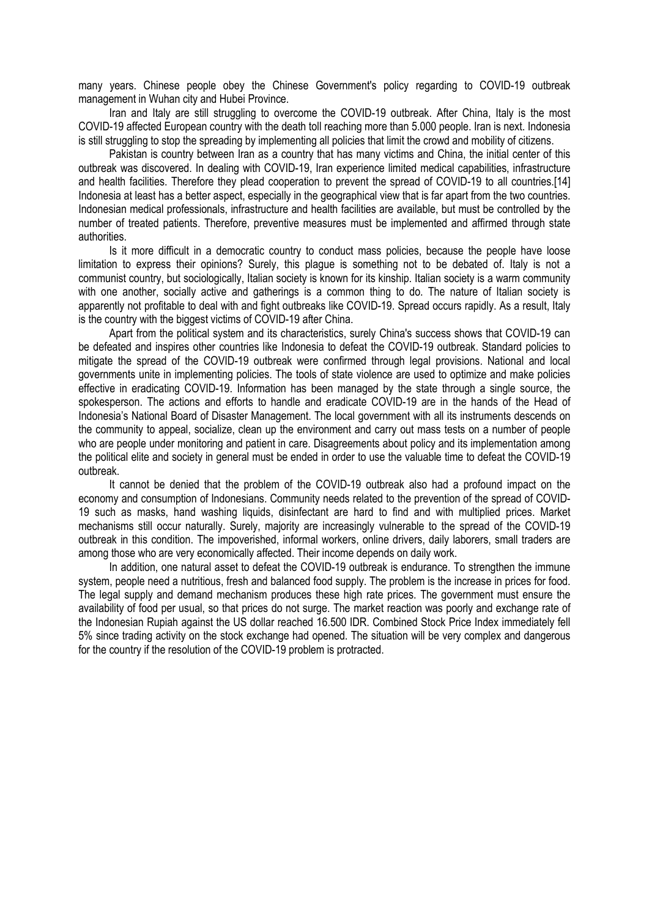many years. Chinese people obey the Chinese Government's policy regarding to COVID-19 outbreak management in Wuhan city and Hubei Province.

Iran and Italy are still struggling to overcome the COVID-19 outbreak. After China, Italy is the most COVID-19 affected European country with the death toll reaching more than 5.000 people. Iran is next. Indonesia is still struggling to stop the spreading by implementing all policies that limit the crowd and mobility of citizens.

Pakistan is country between Iran as a country that has many victims and China, the initial center of this outbreak was discovered. In dealing with COVID-19, Iran experience limited medical capabilities, infrastructure and health facilities. Therefore they plead cooperation to prevent the spread of COVID-19 to all countries.[14] Indonesia at least has a better aspect, especially in the geographical view that is far apart from the two countries. Indonesian medical professionals, infrastructure and health facilities are available, but must be controlled by the number of treated patients. Therefore, preventive measures must be implemented and affirmed through state authorities.

Is it more difficult in a democratic country to conduct mass policies, because the people have loose limitation to express their opinions? Surely, this plague is something not to be debated of. Italy is not a communist country, but sociologically, Italian society is known for its kinship. Italian society is a warm community with one another, socially active and gatherings is a common thing to do. The nature of Italian society is apparently not profitable to deal with and fight outbreaks like COVID-19. Spread occurs rapidly. As a result, Italy is the country with the biggest victims of COVID-19 after China.

Apart from the political system and its characteristics, surely China's success shows that COVID-19 can be defeated and inspires other countries like Indonesia to defeat the COVID-19 outbreak. Standard policies to mitigate the spread of the COVID-19 outbreak were confirmed through legal provisions. National and local governments unite in implementing policies. The tools of state violence are used to optimize and make policies effective in eradicating COVID-19. Information has been managed by the state through a single source, the spokesperson. The actions and efforts to handle and eradicate COVID-19 are in the hands of the Head of Indonesia's National Board of Disaster Management. The local government with all its instruments descends on the community to appeal, socialize, clean up the environment and carry out mass tests on a number of people who are people under monitoring and patient in care. Disagreements about policy and its implementation among the political elite and society in general must be ended in order to use the valuable time to defeat the COVID-19 outbreak.

It cannot be denied that the problem of the COVID-19 outbreak also had a profound impact on the economy and consumption of Indonesians. Community needs related to the prevention of the spread of COVID-19 such as masks, hand washing liquids, disinfectant are hard to find and with multiplied prices. Market mechanisms still occur naturally. Surely, majority are increasingly vulnerable to the spread of the COVID-19 outbreak in this condition. The impoverished, informal workers, online drivers, daily laborers, small traders are among those who are very economically affected. Their income depends on daily work.

In addition, one natural asset to defeat the COVID-19 outbreak is endurance. To strengthen the immune system, people need a nutritious, fresh and balanced food supply. The problem is the increase in prices for food. The legal supply and demand mechanism produces these high rate prices. The government must ensure the availability of food per usual, so that prices do not surge. The market reaction was poorly and exchange rate of the Indonesian Rupiah against the US dollar reached 16.500 IDR. Combined Stock Price Index immediately fell 5% since trading activity on the stock exchange had opened. The situation will be very complex and dangerous for the country if the resolution of the COVID-19 problem is protracted.